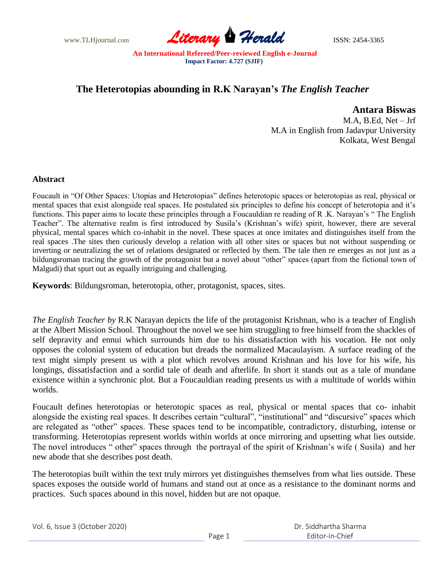www.TLHjournal.com **Literary Herald Herald ISSN: 2454-3365** 

## **The Heterotopias abounding in R.K Narayan's** *The English Teacher*

 **Antara Biswas**

 M.A, B.Ed, Net – Jrf M.A in English from Jadavpur University Kolkata, West Bengal

## **Abstract**

Foucault in "Of Other Spaces: Utopias and Heterotopias" defines heterotopic spaces or heterotopias as real, physical or mental spaces that exist alongside real spaces. He postulated six principles to define his concept of heterotopia and it's functions. This paper aims to locate these principles through a Foucauldian re reading of R .K. Narayan's " The English Teacher". The alternative realm is first introduced by Susila's (Krishnan's wife) spirit, however, there are several physical, mental spaces which co-inhabit in the novel. These spaces at once imitates and distinguishes itself from the real spaces .The sites then curiously develop a relation with all other sites or spaces but not without suspending or inverting or neutralizing the set of relations designated or reflected by them. The tale then re emerges as not just as a bildungsroman tracing the growth of the protagonist but a novel about "other" spaces (apart from the fictional town of Malgudi) that spurt out as equally intriguing and challenging.

**Keywords**: Bildungsroman, heterotopia, other, protagonist, spaces, sites.

*The English Teacher by* R.K Narayan depicts the life of the protagonist Krishnan, who is a teacher of English at the Albert Mission School. Throughout the novel we see him struggling to free himself from the shackles of self depravity and ennui which surrounds him due to his dissatisfaction with his vocation. He not only opposes the colonial system of education but dreads the normalized Macaulayism. A surface reading of the text might simply present us with a plot which revolves around Krishnan and his love for his wife, his longings, dissatisfaction and a sordid tale of death and afterlife. In short it stands out as a tale of mundane existence within a synchronic plot. But a Foucauldian reading presents us with a multitude of worlds within worlds.

Foucault defines heterotopias or heterotopic spaces as real, physical or mental spaces that co- inhabit alongside the existing real spaces. It describes certain "cultural", "institutional" and "discursive" spaces which are relegated as "other" spaces. These spaces tend to be incompatible, contradictory, disturbing, intense or transforming. Heterotopias represent worlds within worlds at once mirroring and upsetting what lies outside. The novel introduces " other" spaces through the portrayal of the spirit of Krishnan's wife ( Susila) and her new abode that she describes post death.

The heterotopias built within the text truly mirrors yet distinguishes themselves from what lies outside. These spaces exposes the outside world of humans and stand out at once as a resistance to the dominant norms and practices. Such spaces abound in this novel, hidden but are not opaque.

Vol. 6, Issue 3 (October 2020) Page 1 Dr. Siddhartha Sharma Editor-in-Chief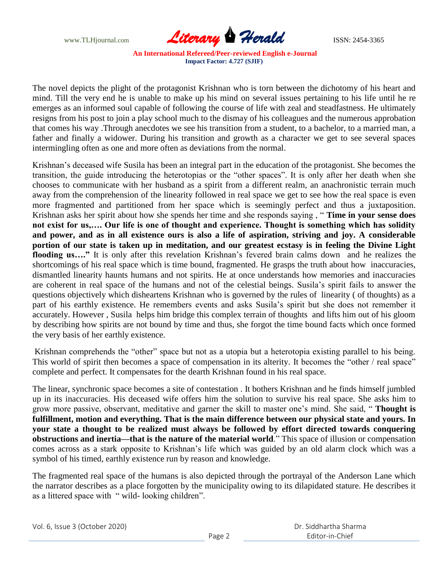www.TLHjournal.com **Literary Herald** ISSN: 2454-3365

The novel depicts the plight of the protagonist Krishnan who is torn between the dichotomy of his heart and mind. Till the very end he is unable to make up his mind on several issues pertaining to his life until he re emerges as an informed soul capable of following the course of life with zeal and steadfastness. He ultimately resigns from his post to join a play school much to the dismay of his colleagues and the numerous approbation that comes his way .Through anecdotes we see his transition from a student, to a bachelor, to a married man, a father and finally a widower. During his transition and growth as a character we get to see several spaces intermingling often as one and more often as deviations from the normal.

Krishnan's deceased wife Susila has been an integral part in the education of the protagonist. She becomes the transition, the guide introducing the heterotopias or the "other spaces". It is only after her death when she chooses to communicate with her husband as a spirit from a different realm, an anachronistic terrain much away from the comprehension of the linearity followed in real space we get to see how the real space is even more fragmented and partitioned from her space which is seemingly perfect and thus a juxtaposition. Krishnan asks her spirit about how she spends her time and she responds saying , " **Time in your sense does not exist for us,…. Our life is one of thought and experience. Thought is something which has solidity and power, and as in all existence ours is also a life of aspiration, striving and joy. A considerable portion of our state is taken up in meditation, and our greatest ecstasy is in feeling the Divine Light flooding us…."** It is only after this revelation Krishnan's fevered brain calms down and he realizes the shortcomings of his real space which is time bound, fragmented. He grasps the truth about how inaccuracies, dismantled linearity haunts humans and not spirits. He at once understands how memories and inaccuracies are coherent in real space of the humans and not of the celestial beings. Susila's spirit fails to answer the questions objectively which disheartens Krishnan who is governed by the rules of linearity ( of thoughts) as a part of his earthly existence. He remembers events and asks Susila's spirit but she does not remember it accurately. However , Susila helps him bridge this complex terrain of thoughts and lifts him out of his gloom by describing how spirits are not bound by time and thus, she forgot the time bound facts which once formed the very basis of her earthly existence.

Krishnan comprehends the "other" space but not as a utopia but a heterotopia existing parallel to his being. This world of spirit then becomes a space of compensation in its alterity. It becomes the "other / real space" complete and perfect. It compensates for the dearth Krishnan found in his real space.

The linear, synchronic space becomes a site of contestation . It bothers Krishnan and he finds himself jumbled up in its inaccuracies. His deceased wife offers him the solution to survive his real space. She asks him to grow more passive, observant, meditative and garner the skill to master one's mind. She said, " **Thought is fulfillment, motion and everything. That is the main difference between our physical state and yours. In your state a thought to be realized must always be followed by effort directed towards conquering obstructions and inertia—that is the nature of the material world**." This space of illusion or compensation comes across as a stark opposite to Krishnan's life which was guided by an old alarm clock which was a symbol of his timed, earthly existence run by reason and knowledge.

The fragmented real space of the humans is also depicted through the portrayal of the Anderson Lane which the narrator describes as a place forgotten by the municipality owing to its dilapidated stature. He describes it as a littered space with " wild- looking children".

Vol. 6, Issue 3 (October 2020)

 Dr. Siddhartha Sharma Editor-in-Chief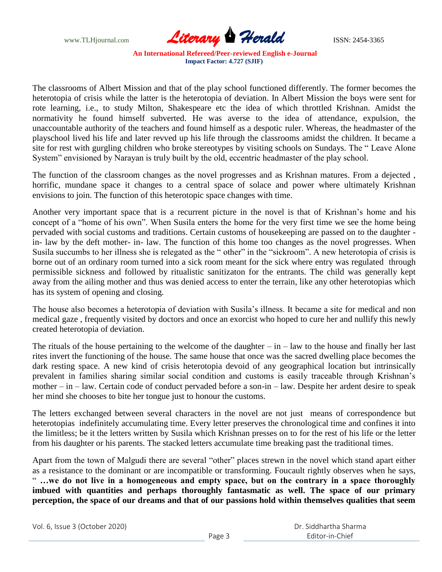www.TLHjournal.com **Literary Herald** ISSN: 2454-3365

The classrooms of Albert Mission and that of the play school functioned differently. The former becomes the heterotopia of crisis while the latter is the heterotopia of deviation. In Albert Mission the boys were sent for rote learning, i.e., to study Milton, Shakespeare etc the idea of which throttled Krishnan. Amidst the normativity he found himself subverted. He was averse to the idea of attendance, expulsion, the unaccountable authority of the teachers and found himself as a despotic ruler. Whereas, the headmaster of the playschool lived his life and later revved up his life through the classrooms amidst the children. It became a site for rest with gurgling children who broke stereotypes by visiting schools on Sundays. The " Leave Alone System" envisioned by Narayan is truly built by the old, eccentric headmaster of the play school.

The function of the classroom changes as the novel progresses and as Krishnan matures. From a dejected , horrific, mundane space it changes to a central space of solace and power where ultimately Krishnan envisions to join. The function of this heterotopic space changes with time.

Another very important space that is a recurrent picture in the novel is that of Krishnan's home and his concept of a "home of his own". When Susila enters the home for the very first time we see the home being pervaded with social customs and traditions. Certain customs of housekeeping are passed on to the daughter in- law by the deft mother- in- law. The function of this home too changes as the novel progresses. When Susila succumbs to her illness she is relegated as the " other" in the "sickroom". A new heterotopia of crisis is borne out of an ordinary room turned into a sick room meant for the sick where entry was regulated through permissible sickness and followed by ritualistic sanitizaton for the entrants. The child was generally kept away from the ailing mother and thus was denied access to enter the terrain, like any other heterotopias which has its system of opening and closing.

The house also becomes a heterotopia of deviation with Susila's illness. It became a site for medical and non medical gaze , frequently visited by doctors and once an exorcist who hoped to cure her and nullify this newly created heterotopia of deviation.

The rituals of the house pertaining to the welcome of the daughter  $-\text{in}$  – law to the house and finally her last rites invert the functioning of the house. The same house that once was the sacred dwelling place becomes the dark resting space. A new kind of crisis heterotopia devoid of any geographical location but intrinsically prevalent in families sharing similar social condition and customs is easily traceable through Krishnan's mother – in – law. Certain code of conduct pervaded before a son-in – law. Despite her ardent desire to speak her mind she chooses to bite her tongue just to honour the customs.

The letters exchanged between several characters in the novel are not just means of correspondence but heterotopias indefinitely accumulating time. Every letter preserves the chronological time and confines it into the limitless; be it the letters written by Susila which Krishnan presses on to for the rest of his life or the letter from his daughter or his parents. The stacked letters accumulate time breaking past the traditional times.

Apart from the town of Malgudi there are several "other" places strewn in the novel which stand apart either as a resistance to the dominant or are incompatible or transforming. Foucault rightly observes when he says, " **…we do not live in a homogeneous and empty space, but on the contrary in a space thoroughly imbued with quantities and perhaps thoroughly fantasmatic as well. The space of our primary perception, the space of our dreams and that of our passions hold within themselves qualities that seem** 

Vol. 6, Issue 3 (October 2020)

 Dr. Siddhartha Sharma Editor-in-Chief